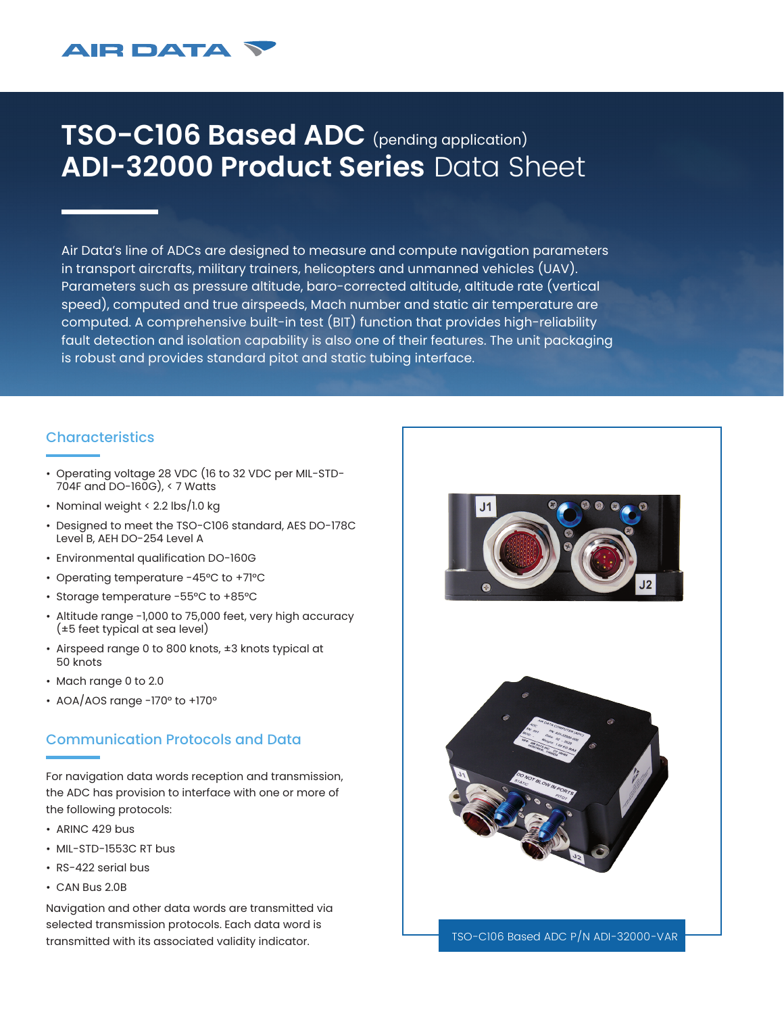## **AIR DATA**

# **TSO-C106 Based ADC** (pending application) **ADI-32000 Product Series** Data Sheet

Air Data's line of ADCs are designed to measure and compute navigation parameters in transport aircrafts, military trainers, helicopters and unmanned vehicles (UAV). Parameters such as pressure altitude, baro-corrected altitude, altitude rate (vertical speed), computed and true airspeeds, Mach number and static air temperature are computed. A comprehensive built-in test (BIT) function that provides high-reliability fault detection and isolation capability is also one of their features. The unit packaging is robust and provides standard pitot and static tubing interface.

### **Characteristics**

- Operating voltage 28 VDC (16 to 32 VDC per MIL-STD-704F and DO-160G), < 7 Watts
- Nominal weight < 2.2 lbs/1.0 kg
- Designed to meet the TSO-C106 standard, AES DO-178C Level B, AEH DO-254 Level A
- Environmental qualification DO-160G
- Operating temperature -45°C to +71°C
- Storage temperature -55°C to +85°C
- Altitude range -1,000 to 75,000 feet, very high accuracy (±5 feet typical at sea level)
- Airspeed range 0 to 800 knots, ±3 knots typical at 50 knots
- Mach range 0 to 2.0
- AOA/AOS range -170° to +170°

### Communication Protocols and Data

For navigation data words reception and transmission, the ADC has provision to interface with one or more of the following protocols:

- ARINC 429 bus
- MIL-STD-1553C RT bus
- RS-422 serial bus
- CAN Bus 2.0B

Navigation and other data words are transmitted via selected transmission protocols. Each data word is transmitted with its associated validity indicator.





TSO-C106 Based ADC P/N ADI-32000-VAR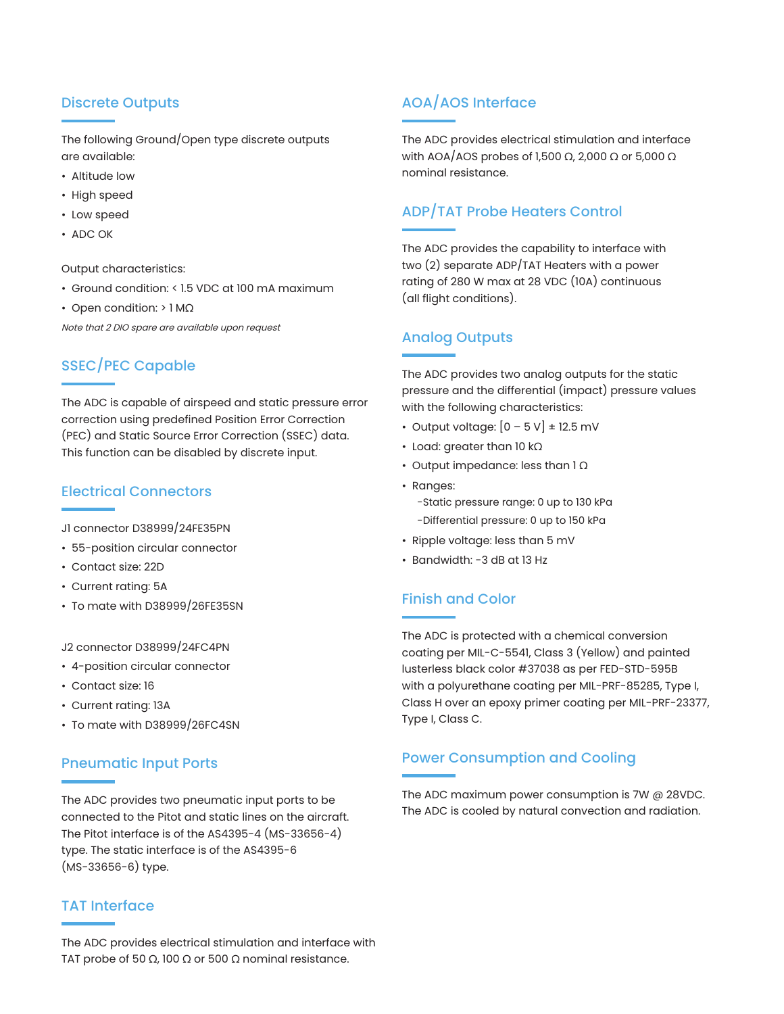### Discrete Outputs

The following Ground/Open type discrete outputs are available:

- Altitude low
- High speed
- Low speed
- ADC OK

Output characteristics:

- Ground condition: < 1.5 VDC at 100 mA maximum
- Open condition: > 1 MΩ

Note that 2 DIO spare are available upon request

### SSEC/PEC Capable

The ADC is capable of airspeed and static pressure error correction using predefined Position Error Correction (PEC) and Static Source Error Correction (SSEC) data. This function can be disabled by discrete input.

### Electrical Connectors

J1 connector D38999/24FE35PN

- 55-position circular connector
- Contact size: 22D
- Current rating: 5A
- To mate with D38999/26FE35SN

#### J2 connector D38999/24FC4PN

- 4-position circular connector
- Contact size: 16
- Current rating: 13A
- To mate with D38999/26FC4SN

### Pneumatic Input Ports

The ADC provides two pneumatic input ports to be connected to the Pitot and static lines on the aircraft. The Pitot interface is of the AS4395-4 (MS-33656-4) type. The static interface is of the AS4395-6 (MS-33656-6) type.

### TAT Interface

The ADC provides electrical stimulation and interface with TAT probe of 50  $\Omega$ , 100  $\Omega$  or 500  $\Omega$  nominal resistance.

### AOA/AOS Interface

The ADC provides electrical stimulation and interface with AOA/AOS probes of 1,500 Ω, 2,000 Ω or 5,000 Ω nominal resistance.

### ADP/TAT Probe Heaters Control

The ADC provides the capability to interface with two (2) separate ADP/TAT Heaters with a power rating of 280 W max at 28 VDC (10A) continuous (all flight conditions).

### Analog Outputs

The ADC provides two analog outputs for the static pressure and the differential (impact) pressure values with the following characteristics:

- Output voltage:  $[0 5 V] \pm 12.5$  mV
- Load: greater than 10 kΩ
- Output impedance: less than 1 Ω
- Ranges: -Static pressure range: 0 up to 130 kPa -Differential pressure: 0 up to 150 kPa
- Ripple voltage: less than 5 mV
- Bandwidth: -3 dB at 13 Hz

### Finish and Color

The ADC is protected with a chemical conversion coating per MIL-C-5541, Class 3 (Yellow) and painted lusterless black color #37038 as per FED-STD-595B with a polyurethane coating per MIL-PRF-85285, Type I, Class H over an epoxy primer coating per MIL-PRF-23377, Type I, Class C.

### Power Consumption and Cooling

The ADC maximum power consumption is 7W @ 28VDC. The ADC is cooled by natural convection and radiation.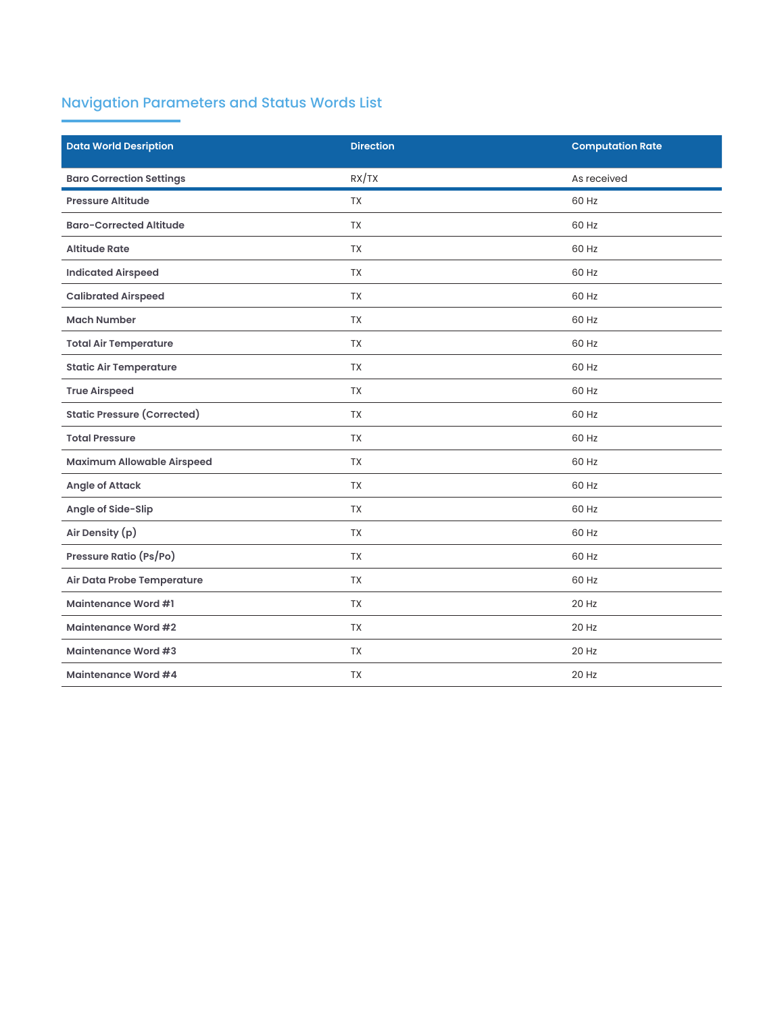# Navigation Parameters and Status Words List

| <b>Data World Desription</b>       | <b>Direction</b> | <b>Computation Rate</b> |
|------------------------------------|------------------|-------------------------|
| <b>Baro Correction Settings</b>    | RX/TX            | As received             |
| <b>Pressure Altitude</b>           | <b>TX</b>        | 60 Hz                   |
| <b>Baro-Corrected Altitude</b>     | <b>TX</b>        | 60 Hz                   |
| <b>Altitude Rate</b>               | <b>TX</b>        | 60 Hz                   |
| <b>Indicated Airspeed</b>          | <b>TX</b>        | 60 Hz                   |
| <b>Calibrated Airspeed</b>         | <b>TX</b>        | 60 Hz                   |
| <b>Mach Number</b>                 | <b>TX</b>        | 60 Hz                   |
| <b>Total Air Temperature</b>       | <b>TX</b>        | 60 Hz                   |
| <b>Static Air Temperature</b>      | <b>TX</b>        | 60 Hz                   |
| <b>True Airspeed</b>               | <b>TX</b>        | 60 Hz                   |
| <b>Static Pressure (Corrected)</b> | <b>TX</b>        | 60 Hz                   |
| <b>Total Pressure</b>              | <b>TX</b>        | 60 Hz                   |
| <b>Maximum Allowable Airspeed</b>  | <b>TX</b>        | 60 Hz                   |
| <b>Angle of Attack</b>             | <b>TX</b>        | 60 Hz                   |
| Angle of Side-Slip                 | <b>TX</b>        | 60 Hz                   |
| Air Density (p)                    | <b>TX</b>        | 60 Hz                   |
| Pressure Ratio (Ps/Po)             | <b>TX</b>        | 60 Hz                   |
| Air Data Probe Temperature         | <b>TX</b>        | 60 Hz                   |
| <b>Maintenance Word #1</b>         | <b>TX</b>        | 20 Hz                   |
| <b>Maintenance Word #2</b>         | <b>TX</b>        | 20 Hz                   |
| <b>Maintenance Word #3</b>         | <b>TX</b>        | 20 Hz                   |
| <b>Maintenance Word #4</b>         | <b>TX</b>        | 20 Hz                   |